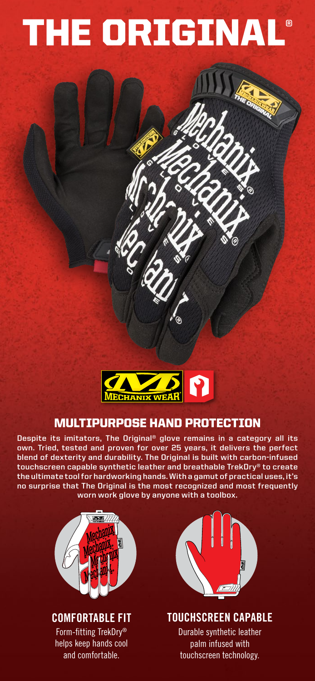# THE ORIGINAL®



### MULTIPURPOSE HAND PROTECTION

**Despite its imitators, The Original® glove remains in a category all its own. Tried, tested and proven for over 25 years, it delivers the perfect blend of dexterity and durability. The Original is built with carbon-infused touchscreen capable synthetic leather and breathable TrekDry® to create the ultimate tool for hardworking hands. With a gamut of practical uses, it's no surprise that The Original is the most recognized and most frequently worn work glove by anyone with a toolbox.**



## **COMFORTABLE FIT**

Form-fitting TrekDry® helps keep hands cool and comfortable.



### **TOUCHSCREEN CAPABLE**

Durable synthetic leather palm infused with touchscreen technology.